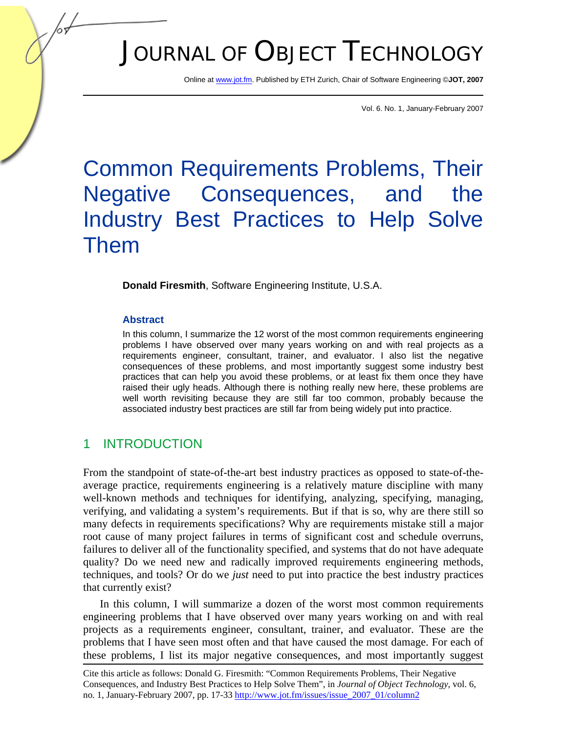# JOURNAL OF OBJECT TECHNOLOGY

Online at www.jot.fm. Published by ETH Zurich, Chair of Software Engineering ©**JOT, 2007** 

Vol. 6. No. 1, January-February 2007

## Common Requirements Problems, Their Negative Consequences, and the Industry Best Practices to Help Solve Them

**Donald Firesmith**, Software Engineering Institute, U.S.A.

#### **Abstract**

In this column, I summarize the 12 worst of the most common requirements engineering problems I have observed over many years working on and with real projects as a requirements engineer, consultant, trainer, and evaluator. I also list the negative consequences of these problems, and most importantly suggest some industry best practices that can help you avoid these problems, or at least fix them once they have raised their ugly heads. Although there is nothing really new here, these problems are well worth revisiting because they are still far too common, probably because the associated industry best practices are still far from being widely put into practice.

## 1 INTRODUCTION

From the standpoint of state-of-the-art best industry practices as opposed to state-of-theaverage practice, requirements engineering is a relatively mature discipline with many well-known methods and techniques for identifying, analyzing, specifying, managing, verifying, and validating a system's requirements. But if that is so, why are there still so many defects in requirements specifications? Why are requirements mistake still a major root cause of many project failures in terms of significant cost and schedule overruns, failures to deliver all of the functionality specified, and systems that do not have adequate quality? Do we need new and radically improved requirements engineering methods, techniques, and tools? Or do we *just* need to put into practice the best industry practices that currently exist?

In this column, I will summarize a dozen of the worst most common requirements engineering problems that I have observed over many years working on and with real projects as a requirements engineer, consultant, trainer, and evaluator. These are the problems that I have seen most often and that have caused the most damage. For each of these problems, I list its major negative consequences, and most importantly suggest

Cite this article as follows: Donald G. Firesmith: "Common Requirements Problems, Their Negative Consequences, and Industry Best Practices to Help Solve Them", in *Journal of Object Technology*, vol. 6, no. 1, January-February 2007, pp. 17-33 http://www.jot.fm/issues/issue\_2007\_01/column2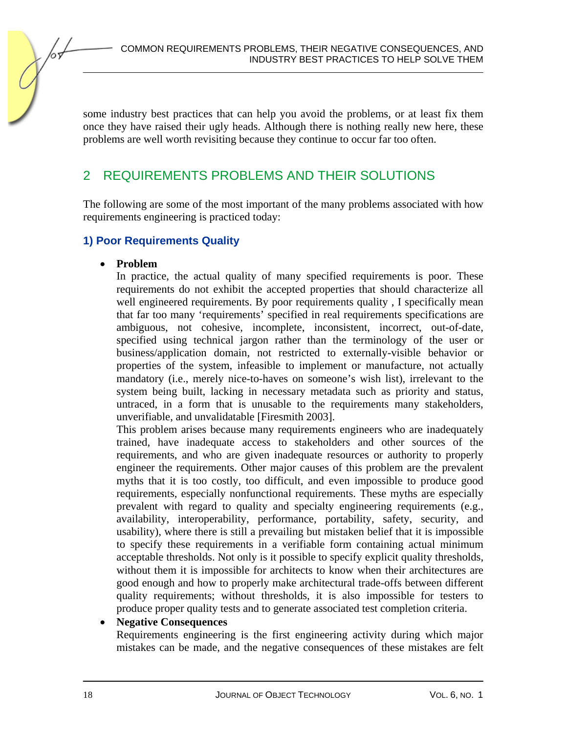some industry best practices that can help you avoid the problems, or at least fix them once they have raised their ugly heads. Although there is nothing really new here, these problems are well worth revisiting because they continue to occur far too often.

## 2 REQUIREMENTS PROBLEMS AND THEIR SOLUTIONS

The following are some of the most important of the many problems associated with how requirements engineering is practiced today:

#### **1) Poor Requirements Quality**

#### • **Problem**

In practice, the actual quality of many specified requirements is poor. These requirements do not exhibit the accepted properties that should characterize all well engineered requirements. By poor requirements quality, I specifically mean that far too many 'requirements' specified in real requirements specifications are ambiguous, not cohesive, incomplete, inconsistent, incorrect, out-of-date, specified using technical jargon rather than the terminology of the user or business/application domain, not restricted to externally-visible behavior or properties of the system, infeasible to implement or manufacture, not actually mandatory (i.e., merely nice-to-haves on someone's wish list), irrelevant to the system being built, lacking in necessary metadata such as priority and status, untraced, in a form that is unusable to the requirements many stakeholders, unverifiable, and unvalidatable [Firesmith 2003].

This problem arises because many requirements engineers who are inadequately trained, have inadequate access to stakeholders and other sources of the requirements, and who are given inadequate resources or authority to properly engineer the requirements. Other major causes of this problem are the prevalent myths that it is too costly, too difficult, and even impossible to produce good requirements, especially nonfunctional requirements. These myths are especially prevalent with regard to quality and specialty engineering requirements (e.g., availability, interoperability, performance, portability, safety, security, and usability), where there is still a prevailing but mistaken belief that it is impossible to specify these requirements in a verifiable form containing actual minimum acceptable thresholds. Not only is it possible to specify explicit quality thresholds, without them it is impossible for architects to know when their architectures are good enough and how to properly make architectural trade-offs between different quality requirements; without thresholds, it is also impossible for testers to produce proper quality tests and to generate associated test completion criteria.

#### • **Negative Consequences**

Requirements engineering is the first engineering activity during which major mistakes can be made, and the negative consequences of these mistakes are felt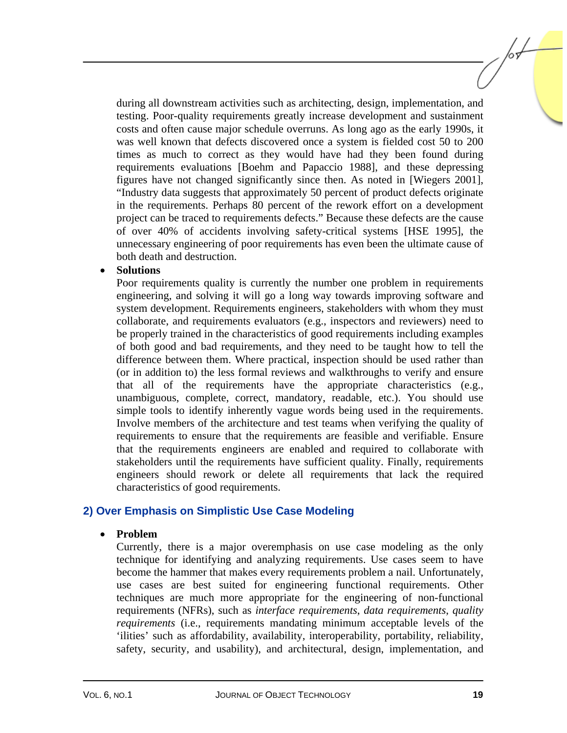during all downstream activities such as architecting, design, implementation, and testing. Poor-quality requirements greatly increase development and sustainment costs and often cause major schedule overruns. As long ago as the early 1990s, it was well known that defects discovered once a system is fielded cost 50 to 200 times as much to correct as they would have had they been found during requirements evaluations [Boehm and Papaccio 1988], and these depressing figures have not changed significantly since then. As noted in [Wiegers 2001], "Industry data suggests that approximately 50 percent of product defects originate in the requirements. Perhaps 80 percent of the rework effort on a development project can be traced to requirements defects." Because these defects are the cause of over 40% of accidents involving safety-critical systems [HSE 1995], the unnecessary engineering of poor requirements has even been the ultimate cause of both death and destruction.

#### • **Solutions**

Poor requirements quality is currently the number one problem in requirements engineering, and solving it will go a long way towards improving software and system development. Requirements engineers, stakeholders with whom they must collaborate, and requirements evaluators (e.g., inspectors and reviewers) need to be properly trained in the characteristics of good requirements including examples of both good and bad requirements, and they need to be taught how to tell the difference between them. Where practical, inspection should be used rather than (or in addition to) the less formal reviews and walkthroughs to verify and ensure that all of the requirements have the appropriate characteristics (e.g., unambiguous, complete, correct, mandatory, readable, etc.). You should use simple tools to identify inherently vague words being used in the requirements. Involve members of the architecture and test teams when verifying the quality of requirements to ensure that the requirements are feasible and verifiable. Ensure that the requirements engineers are enabled and required to collaborate with stakeholders until the requirements have sufficient quality. Finally, requirements engineers should rework or delete all requirements that lack the required characteristics of good requirements.

#### **2) Over Emphasis on Simplistic Use Case Modeling**

#### • **Problem**

Currently, there is a major overemphasis on use case modeling as the only technique for identifying and analyzing requirements. Use cases seem to have become the hammer that makes every requirements problem a nail. Unfortunately, use cases are best suited for engineering functional requirements. Other techniques are much more appropriate for the engineering of non-functional requirements (NFRs), such as *interface requirements*, *data requirements*, *quality requirements* (i.e., requirements mandating minimum acceptable levels of the 'ilities' such as affordability, availability, interoperability, portability, reliability, safety, security, and usability), and architectural, design, implementation, and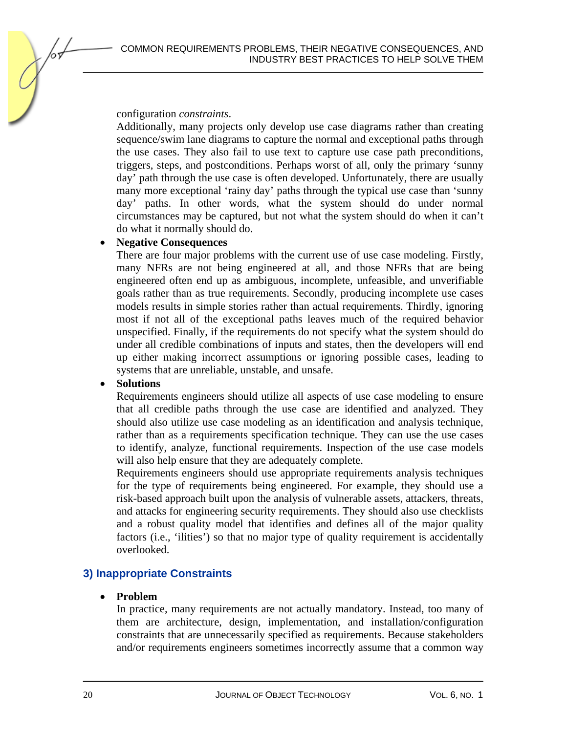configuration *constraints*.

Additionally, many projects only develop use case diagrams rather than creating sequence/swim lane diagrams to capture the normal and exceptional paths through the use cases. They also fail to use text to capture use case path preconditions, triggers, steps, and postconditions. Perhaps worst of all, only the primary 'sunny day' path through the use case is often developed. Unfortunately, there are usually many more exceptional 'rainy day' paths through the typical use case than 'sunny day' paths. In other words, what the system should do under normal circumstances may be captured, but not what the system should do when it can't do what it normally should do.

#### • **Negative Consequences**

There are four major problems with the current use of use case modeling. Firstly, many NFRs are not being engineered at all, and those NFRs that are being engineered often end up as ambiguous, incomplete, unfeasible, and unverifiable goals rather than as true requirements. Secondly, producing incomplete use cases models results in simple stories rather than actual requirements. Thirdly, ignoring most if not all of the exceptional paths leaves much of the required behavior unspecified. Finally, if the requirements do not specify what the system should do under all credible combinations of inputs and states, then the developers will end up either making incorrect assumptions or ignoring possible cases, leading to systems that are unreliable, unstable, and unsafe.

#### • **Solutions**

Requirements engineers should utilize all aspects of use case modeling to ensure that all credible paths through the use case are identified and analyzed. They should also utilize use case modeling as an identification and analysis technique, rather than as a requirements specification technique. They can use the use cases to identify, analyze, functional requirements. Inspection of the use case models will also help ensure that they are adequately complete.

Requirements engineers should use appropriate requirements analysis techniques for the type of requirements being engineered. For example, they should use a risk-based approach built upon the analysis of vulnerable assets, attackers, threats, and attacks for engineering security requirements. They should also use checklists and a robust quality model that identifies and defines all of the major quality factors (i.e., 'ilities') so that no major type of quality requirement is accidentally overlooked.

#### **3) Inappropriate Constraints**

#### • **Problem**

In practice, many requirements are not actually mandatory. Instead, too many of them are architecture, design, implementation, and installation/configuration constraints that are unnecessarily specified as requirements. Because stakeholders and/or requirements engineers sometimes incorrectly assume that a common way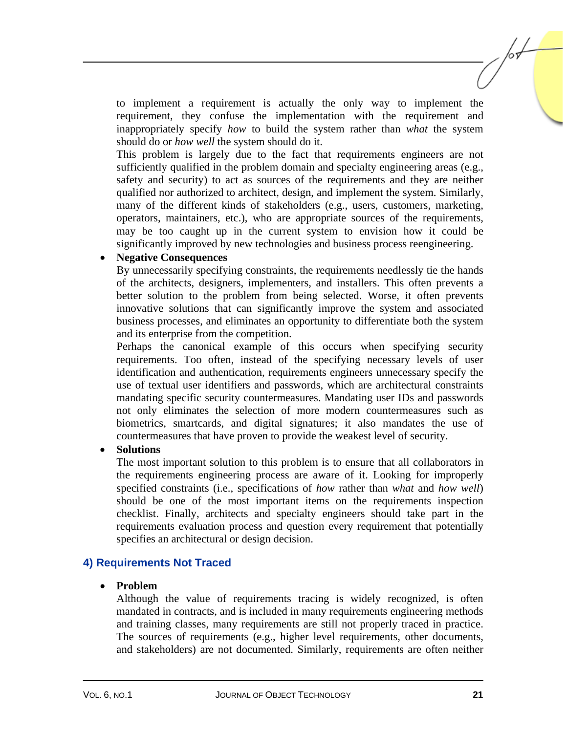to implement a requirement is actually the only way to implement the requirement, they confuse the implementation with the requirement and inappropriately specify *how* to build the system rather than *what* the system should do or *how well* the system should do it.

This problem is largely due to the fact that requirements engineers are not sufficiently qualified in the problem domain and specialty engineering areas (e.g., safety and security) to act as sources of the requirements and they are neither qualified nor authorized to architect, design, and implement the system. Similarly, many of the different kinds of stakeholders (e.g., users, customers, marketing, operators, maintainers, etc.), who are appropriate sources of the requirements, may be too caught up in the current system to envision how it could be significantly improved by new technologies and business process reengineering.

#### • **Negative Consequences**

By unnecessarily specifying constraints, the requirements needlessly tie the hands of the architects, designers, implementers, and installers. This often prevents a better solution to the problem from being selected. Worse, it often prevents innovative solutions that can significantly improve the system and associated business processes, and eliminates an opportunity to differentiate both the system and its enterprise from the competition.

Perhaps the canonical example of this occurs when specifying security requirements. Too often, instead of the specifying necessary levels of user identification and authentication, requirements engineers unnecessary specify the use of textual user identifiers and passwords, which are architectural constraints mandating specific security countermeasures. Mandating user IDs and passwords not only eliminates the selection of more modern countermeasures such as biometrics, smartcards, and digital signatures; it also mandates the use of countermeasures that have proven to provide the weakest level of security.

#### • **Solutions**

The most important solution to this problem is to ensure that all collaborators in the requirements engineering process are aware of it. Looking for improperly specified constraints (i.e., specifications of *how* rather than *what* and *how well*) should be one of the most important items on the requirements inspection checklist. Finally, architects and specialty engineers should take part in the requirements evaluation process and question every requirement that potentially specifies an architectural or design decision.

#### **4) Requirements Not Traced**

#### • **Problem**

Although the value of requirements tracing is widely recognized, is often mandated in contracts, and is included in many requirements engineering methods and training classes, many requirements are still not properly traced in practice. The sources of requirements (e.g., higher level requirements, other documents, and stakeholders) are not documented. Similarly, requirements are often neither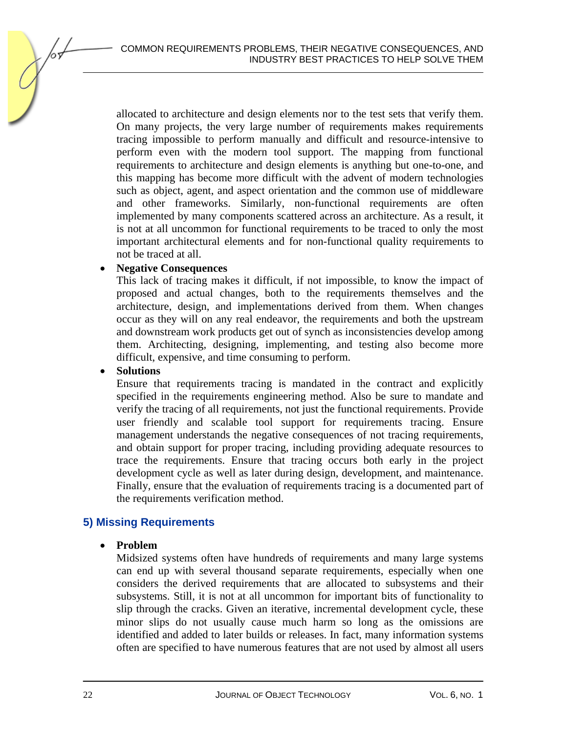allocated to architecture and design elements nor to the test sets that verify them. On many projects, the very large number of requirements makes requirements tracing impossible to perform manually and difficult and resource-intensive to perform even with the modern tool support. The mapping from functional requirements to architecture and design elements is anything but one-to-one, and this mapping has become more difficult with the advent of modern technologies such as object, agent, and aspect orientation and the common use of middleware and other frameworks. Similarly, non-functional requirements are often implemented by many components scattered across an architecture. As a result, it is not at all uncommon for functional requirements to be traced to only the most important architectural elements and for non-functional quality requirements to not be traced at all.

#### • **Negative Consequences**

This lack of tracing makes it difficult, if not impossible, to know the impact of proposed and actual changes, both to the requirements themselves and the architecture, design, and implementations derived from them. When changes occur as they will on any real endeavor, the requirements and both the upstream and downstream work products get out of synch as inconsistencies develop among them. Architecting, designing, implementing, and testing also become more difficult, expensive, and time consuming to perform.

#### • **Solutions**

Ensure that requirements tracing is mandated in the contract and explicitly specified in the requirements engineering method. Also be sure to mandate and verify the tracing of all requirements, not just the functional requirements. Provide user friendly and scalable tool support for requirements tracing. Ensure management understands the negative consequences of not tracing requirements, and obtain support for proper tracing, including providing adequate resources to trace the requirements. Ensure that tracing occurs both early in the project development cycle as well as later during design, development, and maintenance. Finally, ensure that the evaluation of requirements tracing is a documented part of the requirements verification method.

#### **5) Missing Requirements**

#### • **Problem**

Midsized systems often have hundreds of requirements and many large systems can end up with several thousand separate requirements, especially when one considers the derived requirements that are allocated to subsystems and their subsystems. Still, it is not at all uncommon for important bits of functionality to slip through the cracks. Given an iterative, incremental development cycle, these minor slips do not usually cause much harm so long as the omissions are identified and added to later builds or releases. In fact, many information systems often are specified to have numerous features that are not used by almost all users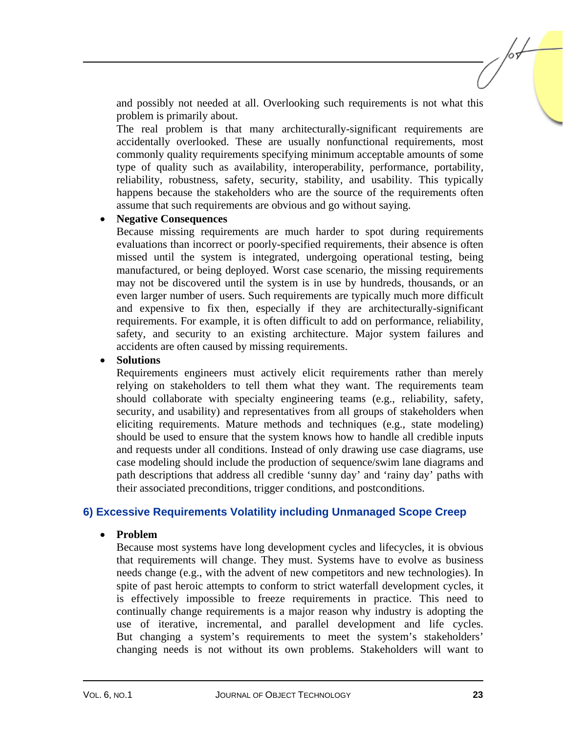and possibly not needed at all. Overlooking such requirements is not what this problem is primarily about.

The real problem is that many architecturally-significant requirements are accidentally overlooked. These are usually nonfunctional requirements, most commonly quality requirements specifying minimum acceptable amounts of some type of quality such as availability, interoperability, performance, portability, reliability, robustness, safety, security, stability, and usability. This typically happens because the stakeholders who are the source of the requirements often assume that such requirements are obvious and go without saying.

#### • **Negative Consequences**

Because missing requirements are much harder to spot during requirements evaluations than incorrect or poorly-specified requirements, their absence is often missed until the system is integrated, undergoing operational testing, being manufactured, or being deployed. Worst case scenario, the missing requirements may not be discovered until the system is in use by hundreds, thousands, or an even larger number of users. Such requirements are typically much more difficult and expensive to fix then, especially if they are architecturally-significant requirements. For example, it is often difficult to add on performance, reliability, safety, and security to an existing architecture. Major system failures and accidents are often caused by missing requirements.

#### • **Solutions**

Requirements engineers must actively elicit requirements rather than merely relying on stakeholders to tell them what they want. The requirements team should collaborate with specialty engineering teams (e.g., reliability, safety, security, and usability) and representatives from all groups of stakeholders when eliciting requirements. Mature methods and techniques (e.g., state modeling) should be used to ensure that the system knows how to handle all credible inputs and requests under all conditions. Instead of only drawing use case diagrams, use case modeling should include the production of sequence/swim lane diagrams and path descriptions that address all credible 'sunny day' and 'rainy day' paths with their associated preconditions, trigger conditions, and postconditions.

#### **6) Excessive Requirements Volatility including Unmanaged Scope Creep**

#### • **Problem**

Because most systems have long development cycles and lifecycles, it is obvious that requirements will change. They must. Systems have to evolve as business needs change (e.g., with the advent of new competitors and new technologies). In spite of past heroic attempts to conform to strict waterfall development cycles, it is effectively impossible to freeze requirements in practice. This need to continually change requirements is a major reason why industry is adopting the use of iterative, incremental, and parallel development and life cycles. But changing a system's requirements to meet the system's stakeholders' changing needs is not without its own problems. Stakeholders will want to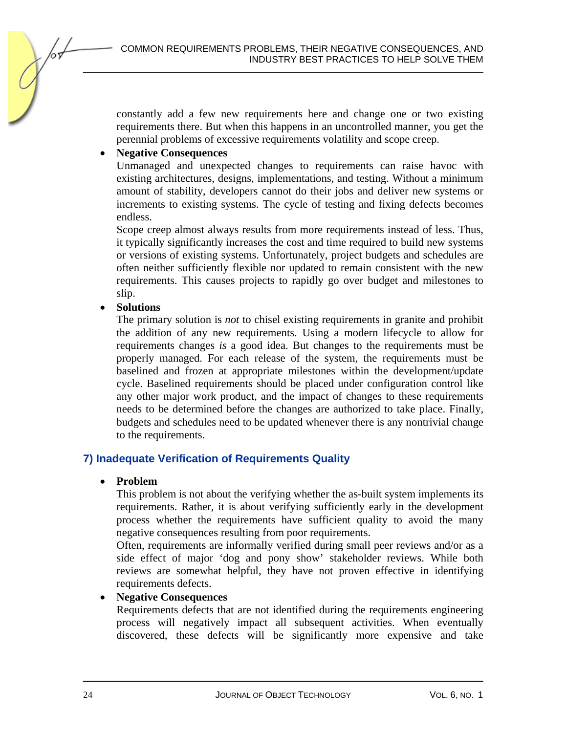constantly add a few new requirements here and change one or two existing requirements there. But when this happens in an uncontrolled manner, you get the perennial problems of excessive requirements volatility and scope creep.

#### • **Negative Consequences**

Unmanaged and unexpected changes to requirements can raise havoc with existing architectures, designs, implementations, and testing. Without a minimum amount of stability, developers cannot do their jobs and deliver new systems or increments to existing systems. The cycle of testing and fixing defects becomes endless.

Scope creep almost always results from more requirements instead of less. Thus, it typically significantly increases the cost and time required to build new systems or versions of existing systems. Unfortunately, project budgets and schedules are often neither sufficiently flexible nor updated to remain consistent with the new requirements. This causes projects to rapidly go over budget and milestones to slip.

#### • **Solutions**

The primary solution is *not* to chisel existing requirements in granite and prohibit the addition of any new requirements. Using a modern lifecycle to allow for requirements changes *is* a good idea. But changes to the requirements must be properly managed. For each release of the system, the requirements must be baselined and frozen at appropriate milestones within the development/update cycle. Baselined requirements should be placed under configuration control like any other major work product, and the impact of changes to these requirements needs to be determined before the changes are authorized to take place. Finally, budgets and schedules need to be updated whenever there is any nontrivial change to the requirements.

#### **7) Inadequate Verification of Requirements Quality**

#### • **Problem**

This problem is not about the verifying whether the as-built system implements its requirements. Rather, it is about verifying sufficiently early in the development process whether the requirements have sufficient quality to avoid the many negative consequences resulting from poor requirements.

Often, requirements are informally verified during small peer reviews and/or as a side effect of major 'dog and pony show' stakeholder reviews. While both reviews are somewhat helpful, they have not proven effective in identifying requirements defects.

#### • **Negative Consequences**

Requirements defects that are not identified during the requirements engineering process will negatively impact all subsequent activities. When eventually discovered, these defects will be significantly more expensive and take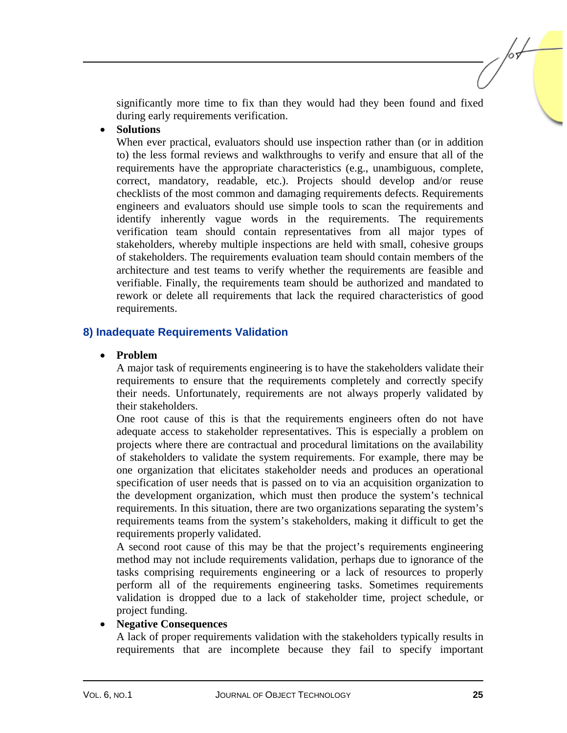significantly more time to fix than they would had they been found and fixed during early requirements verification.

#### • **Solutions**

When ever practical, evaluators should use inspection rather than (or in addition to) the less formal reviews and walkthroughs to verify and ensure that all of the requirements have the appropriate characteristics (e.g., unambiguous, complete, correct, mandatory, readable, etc.). Projects should develop and/or reuse checklists of the most common and damaging requirements defects. Requirements engineers and evaluators should use simple tools to scan the requirements and identify inherently vague words in the requirements. The requirements verification team should contain representatives from all major types of stakeholders, whereby multiple inspections are held with small, cohesive groups of stakeholders. The requirements evaluation team should contain members of the architecture and test teams to verify whether the requirements are feasible and verifiable. Finally, the requirements team should be authorized and mandated to rework or delete all requirements that lack the required characteristics of good requirements.

#### **8) Inadequate Requirements Validation**

#### • **Problem**

A major task of requirements engineering is to have the stakeholders validate their requirements to ensure that the requirements completely and correctly specify their needs. Unfortunately, requirements are not always properly validated by their stakeholders.

One root cause of this is that the requirements engineers often do not have adequate access to stakeholder representatives. This is especially a problem on projects where there are contractual and procedural limitations on the availability of stakeholders to validate the system requirements. For example, there may be one organization that elicitates stakeholder needs and produces an operational specification of user needs that is passed on to via an acquisition organization to the development organization, which must then produce the system's technical requirements. In this situation, there are two organizations separating the system's requirements teams from the system's stakeholders, making it difficult to get the requirements properly validated.

A second root cause of this may be that the project's requirements engineering method may not include requirements validation, perhaps due to ignorance of the tasks comprising requirements engineering or a lack of resources to properly perform all of the requirements engineering tasks. Sometimes requirements validation is dropped due to a lack of stakeholder time, project schedule, or project funding.

#### • **Negative Consequences**

A lack of proper requirements validation with the stakeholders typically results in requirements that are incomplete because they fail to specify important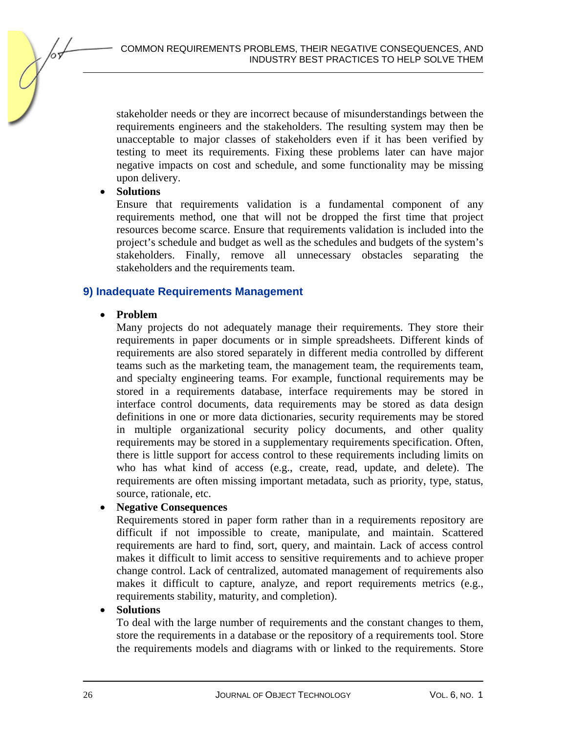stakeholder needs or they are incorrect because of misunderstandings between the requirements engineers and the stakeholders. The resulting system may then be unacceptable to major classes of stakeholders even if it has been verified by testing to meet its requirements. Fixing these problems later can have major negative impacts on cost and schedule, and some functionality may be missing upon delivery.

#### • **Solutions**

Ensure that requirements validation is a fundamental component of any requirements method, one that will not be dropped the first time that project resources become scarce. Ensure that requirements validation is included into the project's schedule and budget as well as the schedules and budgets of the system's stakeholders. Finally, remove all unnecessary obstacles separating the stakeholders and the requirements team.

#### **9) Inadequate Requirements Management**

#### • **Problem**

Many projects do not adequately manage their requirements. They store their requirements in paper documents or in simple spreadsheets. Different kinds of requirements are also stored separately in different media controlled by different teams such as the marketing team, the management team, the requirements team, and specialty engineering teams. For example, functional requirements may be stored in a requirements database, interface requirements may be stored in interface control documents, data requirements may be stored as data design definitions in one or more data dictionaries, security requirements may be stored in multiple organizational security policy documents, and other quality requirements may be stored in a supplementary requirements specification. Often, there is little support for access control to these requirements including limits on who has what kind of access (e.g., create, read, update, and delete). The requirements are often missing important metadata, such as priority, type, status, source, rationale, etc.

#### • **Negative Consequences**

Requirements stored in paper form rather than in a requirements repository are difficult if not impossible to create, manipulate, and maintain. Scattered requirements are hard to find, sort, query, and maintain. Lack of access control makes it difficult to limit access to sensitive requirements and to achieve proper change control. Lack of centralized, automated management of requirements also makes it difficult to capture, analyze, and report requirements metrics (e.g., requirements stability, maturity, and completion).

#### • **Solutions**

To deal with the large number of requirements and the constant changes to them, store the requirements in a database or the repository of a requirements tool. Store the requirements models and diagrams with or linked to the requirements. Store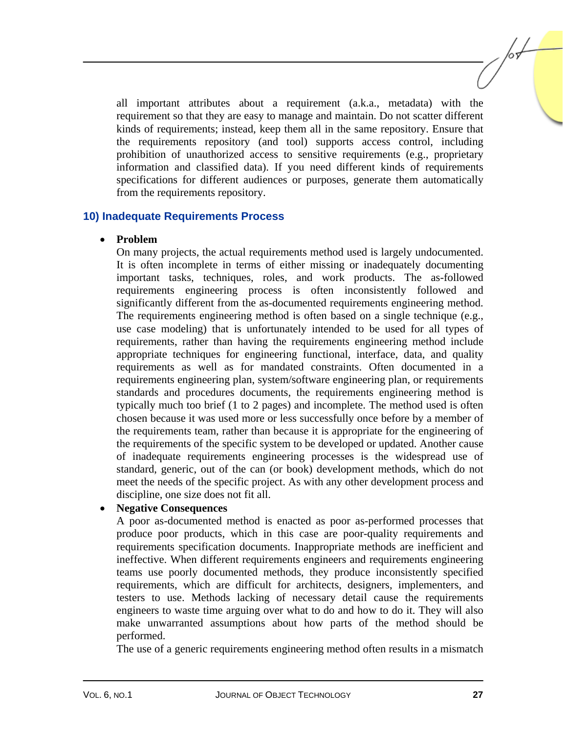all important attributes about a requirement (a.k.a., metadata) with the requirement so that they are easy to manage and maintain. Do not scatter different kinds of requirements; instead, keep them all in the same repository. Ensure that the requirements repository (and tool) supports access control, including prohibition of unauthorized access to sensitive requirements (e.g., proprietary information and classified data). If you need different kinds of requirements specifications for different audiences or purposes, generate them automatically from the requirements repository.

#### **10) Inadequate Requirements Process**

#### • **Problem**

On many projects, the actual requirements method used is largely undocumented. It is often incomplete in terms of either missing or inadequately documenting important tasks, techniques, roles, and work products. The as-followed requirements engineering process is often inconsistently followed and significantly different from the as-documented requirements engineering method. The requirements engineering method is often based on a single technique (e.g., use case modeling) that is unfortunately intended to be used for all types of requirements, rather than having the requirements engineering method include appropriate techniques for engineering functional, interface, data, and quality requirements as well as for mandated constraints. Often documented in a requirements engineering plan, system/software engineering plan, or requirements standards and procedures documents, the requirements engineering method is typically much too brief (1 to 2 pages) and incomplete. The method used is often chosen because it was used more or less successfully once before by a member of the requirements team, rather than because it is appropriate for the engineering of the requirements of the specific system to be developed or updated. Another cause of inadequate requirements engineering processes is the widespread use of standard, generic, out of the can (or book) development methods, which do not meet the needs of the specific project. As with any other development process and discipline, one size does not fit all.

#### • **Negative Consequences**

A poor as-documented method is enacted as poor as-performed processes that produce poor products, which in this case are poor-quality requirements and requirements specification documents. Inappropriate methods are inefficient and ineffective. When different requirements engineers and requirements engineering teams use poorly documented methods, they produce inconsistently specified requirements, which are difficult for architects, designers, implementers, and testers to use. Methods lacking of necessary detail cause the requirements engineers to waste time arguing over what to do and how to do it. They will also make unwarranted assumptions about how parts of the method should be performed.

The use of a generic requirements engineering method often results in a mismatch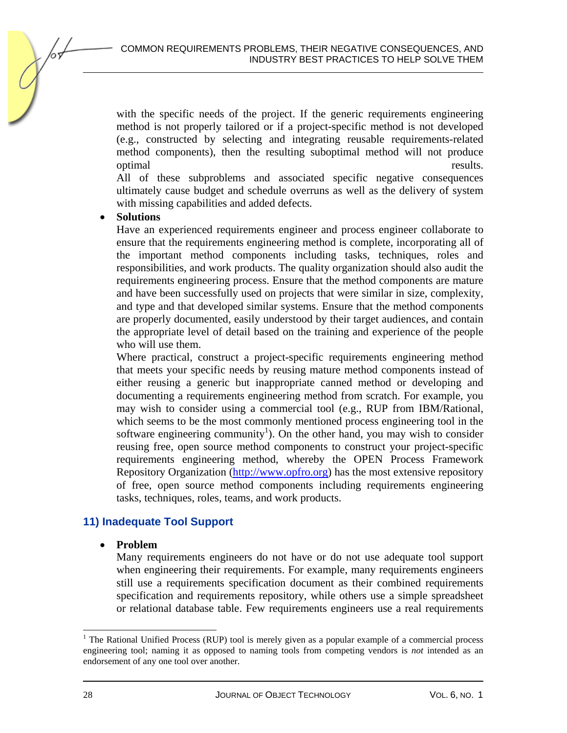with the specific needs of the project. If the generic requirements engineering method is not properly tailored or if a project-specific method is not developed (e.g., constructed by selecting and integrating reusable requirements-related method components), then the resulting suboptimal method will not produce optimal results.

All of these subproblems and associated specific negative consequences ultimately cause budget and schedule overruns as well as the delivery of system with missing capabilities and added defects.

#### • **Solutions**

Have an experienced requirements engineer and process engineer collaborate to ensure that the requirements engineering method is complete, incorporating all of the important method components including tasks, techniques, roles and responsibilities, and work products. The quality organization should also audit the requirements engineering process. Ensure that the method components are mature and have been successfully used on projects that were similar in size, complexity, and type and that developed similar systems. Ensure that the method components are properly documented, easily understood by their target audiences, and contain the appropriate level of detail based on the training and experience of the people who will use them.

Where practical, construct a project-specific requirements engineering method that meets your specific needs by reusing mature method components instead of either reusing a generic but inappropriate canned method or developing and documenting a requirements engineering method from scratch. For example, you may wish to consider using a commercial tool (e.g., RUP from IBM/Rational, which seems to be the most commonly mentioned process engineering tool in the software engineering community<sup>1</sup>). On the other hand, you may wish to consider reusing free, open source method components to construct your project-specific requirements engineering method, whereby the OPEN Process Framework Repository Organization (http://www.opfro.org) has the most extensive repository of free, open source method components including requirements engineering tasks, techniques, roles, teams, and work products.

#### **11) Inadequate Tool Support**

• **Problem** 

Many requirements engineers do not have or do not use adequate tool support when engineering their requirements. For example, many requirements engineers still use a requirements specification document as their combined requirements specification and requirements repository, while others use a simple spreadsheet or relational database table. Few requirements engineers use a real requirements

<sup>&</sup>lt;sup>1</sup> The Rational Unified Process (RUP) tool is merely given as a popular example of a commercial process engineering tool; naming it as opposed to naming tools from competing vendors is *not* intended as an endorsement of any one tool over another.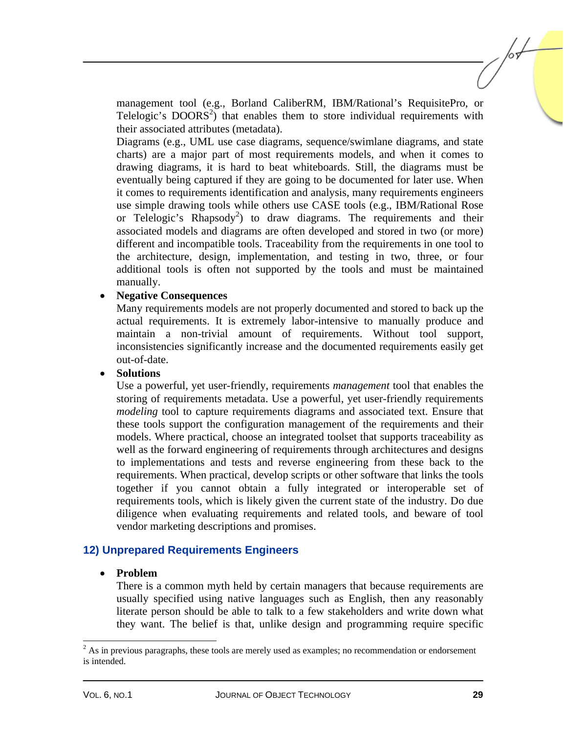management tool (e.g., Borland CaliberRM, IBM/Rational's RequisitePro, or Telelogic's  $DOORS<sup>2</sup>$  that enables them to store individual requirements with their associated attributes (metadata).

Diagrams (e.g., UML use case diagrams, sequence/swimlane diagrams, and state charts) are a major part of most requirements models, and when it comes to drawing diagrams, it is hard to beat whiteboards. Still, the diagrams must be eventually being captured if they are going to be documented for later use. When it comes to requirements identification and analysis, many requirements engineers use simple drawing tools while others use CASE tools (e.g., IBM/Rational Rose or Telelogic's Rhapsody<sup>2</sup>) to draw diagrams. The requirements and their associated models and diagrams are often developed and stored in two (or more) different and incompatible tools. Traceability from the requirements in one tool to the architecture, design, implementation, and testing in two, three, or four additional tools is often not supported by the tools and must be maintained manually.

#### • **Negative Consequences**

Many requirements models are not properly documented and stored to back up the actual requirements. It is extremely labor-intensive to manually produce and maintain a non-trivial amount of requirements. Without tool support, inconsistencies significantly increase and the documented requirements easily get out-of-date.

#### • **Solutions**

Use a powerful, yet user-friendly, requirements *management* tool that enables the storing of requirements metadata. Use a powerful, yet user-friendly requirements *modeling* tool to capture requirements diagrams and associated text. Ensure that these tools support the configuration management of the requirements and their models. Where practical, choose an integrated toolset that supports traceability as well as the forward engineering of requirements through architectures and designs to implementations and tests and reverse engineering from these back to the requirements. When practical, develop scripts or other software that links the tools together if you cannot obtain a fully integrated or interoperable set of requirements tools, which is likely given the current state of the industry. Do due diligence when evaluating requirements and related tools, and beware of tool vendor marketing descriptions and promises.

#### **12) Unprepared Requirements Engineers**

#### • **Problem**

There is a common myth held by certain managers that because requirements are usually specified using native languages such as English, then any reasonably literate person should be able to talk to a few stakeholders and write down what they want. The belief is that, unlike design and programming require specific

l

 $2^2$  As in previous paragraphs, these tools are merely used as examples; no recommendation or endorsement is intended.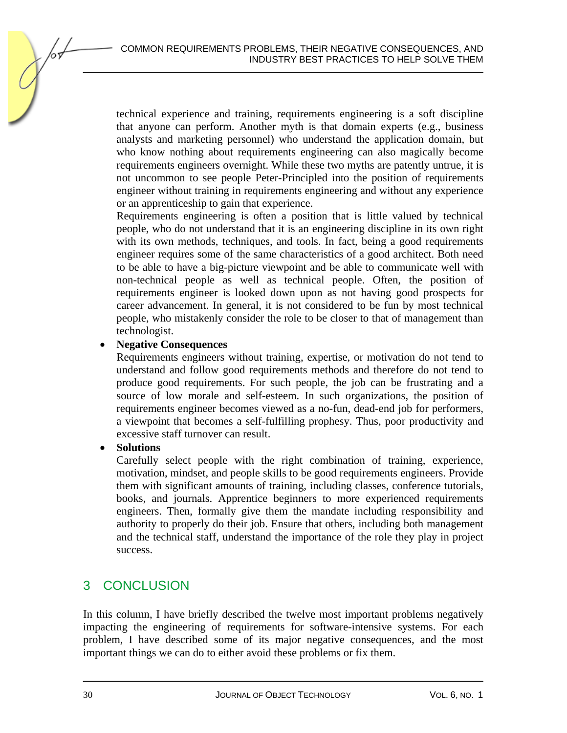technical experience and training, requirements engineering is a soft discipline that anyone can perform. Another myth is that domain experts (e.g., business analysts and marketing personnel) who understand the application domain, but who know nothing about requirements engineering can also magically become requirements engineers overnight. While these two myths are patently untrue, it is not uncommon to see people Peter-Principled into the position of requirements engineer without training in requirements engineering and without any experience or an apprenticeship to gain that experience.

Requirements engineering is often a position that is little valued by technical people, who do not understand that it is an engineering discipline in its own right with its own methods, techniques, and tools. In fact, being a good requirements engineer requires some of the same characteristics of a good architect. Both need to be able to have a big-picture viewpoint and be able to communicate well with non-technical people as well as technical people. Often, the position of requirements engineer is looked down upon as not having good prospects for career advancement. In general, it is not considered to be fun by most technical people, who mistakenly consider the role to be closer to that of management than technologist.

#### • **Negative Consequences**

Requirements engineers without training, expertise, or motivation do not tend to understand and follow good requirements methods and therefore do not tend to produce good requirements. For such people, the job can be frustrating and a source of low morale and self-esteem. In such organizations, the position of requirements engineer becomes viewed as a no-fun, dead-end job for performers, a viewpoint that becomes a self-fulfilling prophesy. Thus, poor productivity and excessive staff turnover can result.

#### • **Solutions**

Carefully select people with the right combination of training, experience, motivation, mindset, and people skills to be good requirements engineers. Provide them with significant amounts of training, including classes, conference tutorials, books, and journals. Apprentice beginners to more experienced requirements engineers. Then, formally give them the mandate including responsibility and authority to properly do their job. Ensure that others, including both management and the technical staff, understand the importance of the role they play in project success.

## 3 CONCLUSION

In this column, I have briefly described the twelve most important problems negatively impacting the engineering of requirements for software-intensive systems. For each problem, I have described some of its major negative consequences, and the most important things we can do to either avoid these problems or fix them.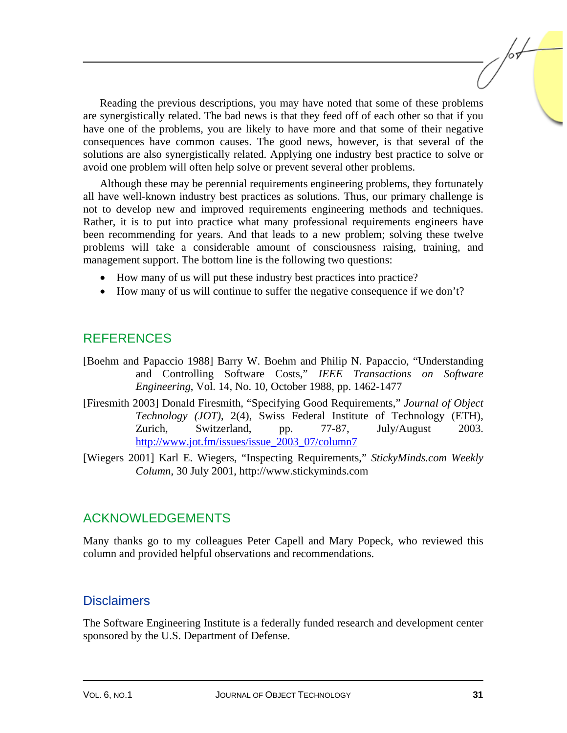Reading the previous descriptions, you may have noted that some of these problems are synergistically related. The bad news is that they feed off of each other so that if you have one of the problems, you are likely to have more and that some of their negative consequences have common causes. The good news, however, is that several of the solutions are also synergistically related. Applying one industry best practice to solve or avoid one problem will often help solve or prevent several other problems.

Although these may be perennial requirements engineering problems, they fortunately all have well-known industry best practices as solutions. Thus, our primary challenge is not to develop new and improved requirements engineering methods and techniques. Rather, it is to put into practice what many professional requirements engineers have been recommending for years. And that leads to a new problem; solving these twelve problems will take a considerable amount of consciousness raising, training, and management support. The bottom line is the following two questions:

- How many of us will put these industry best practices into practice?
- How many of us will continue to suffer the negative consequence if we don't?

## REFERENCES

- [Boehm and Papaccio 1988] Barry W. Boehm and Philip N. Papaccio, "Understanding and Controlling Software Costs," *IEEE Transactions on Software Engineering*, Vol. 14, No. 10, October 1988, pp. 1462-1477
- [Firesmith 2003] Donald Firesmith, "Specifying Good Requirements," *Journal of Object Technology (JOT)*, 2(4), Swiss Federal Institute of Technology (ETH), Zurich, Switzerland, pp. 77-87, July/August 2003. http://www.jot.fm/issues/issue\_2003\_07/column7
- [Wiegers 2001] Karl E. Wiegers, "Inspecting Requirements," *StickyMinds.com Weekly Column*, 30 July 2001, http://www.stickyminds.com

## ACKNOWLEDGEMENTS

Many thanks go to my colleagues Peter Capell and Mary Popeck, who reviewed this column and provided helpful observations and recommendations.

#### **Disclaimers**

The Software Engineering Institute is a federally funded research and development center sponsored by the U.S. Department of Defense.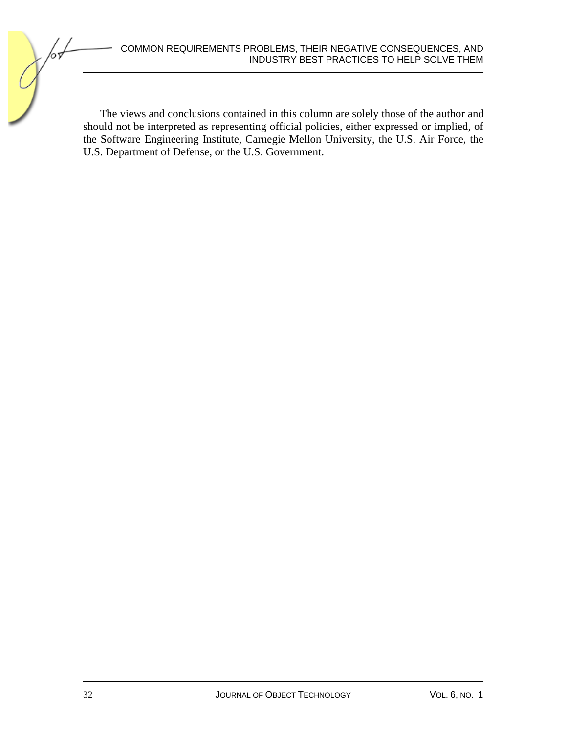#### COMMON REQUIREMENTS PROBLEMS, THEIR NEGATIVE CONSEQUENCES, AND INDUSTRY BEST PRACTICES TO HELP SOLVE THEM

The views and conclusions contained in this column are solely those of the author and should not be interpreted as representing official policies, either expressed or implied, of the Software Engineering Institute, Carnegie Mellon University, the U.S. Air Force, the U.S. Department of Defense, or the U.S. Government.